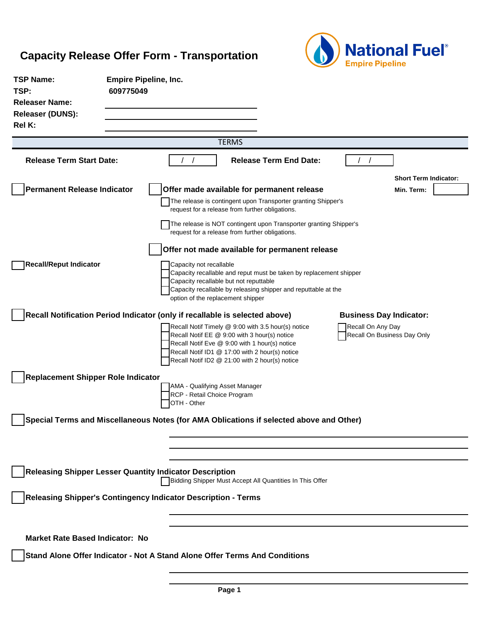

| <b>TSP Name:</b><br>TSP:<br><b>Releaser Name:</b> | <b>Empire Pipeline, Inc.</b><br>609775049                                   |                                                                                                                                                                                                                                                         |                                                  |                              |
|---------------------------------------------------|-----------------------------------------------------------------------------|---------------------------------------------------------------------------------------------------------------------------------------------------------------------------------------------------------------------------------------------------------|--------------------------------------------------|------------------------------|
| <b>Releaser (DUNS):</b><br>Rel K:                 |                                                                             |                                                                                                                                                                                                                                                         |                                                  |                              |
|                                                   |                                                                             | <b>TERMS</b>                                                                                                                                                                                                                                            |                                                  |                              |
| <b>Release Term Start Date:</b>                   |                                                                             | <b>Release Term End Date:</b>                                                                                                                                                                                                                           |                                                  |                              |
|                                                   |                                                                             |                                                                                                                                                                                                                                                         |                                                  | <b>Short Term Indicator:</b> |
| <b>Permanent Release Indicator</b>                |                                                                             | Offer made available for permanent release<br>The release is contingent upon Transporter granting Shipper's<br>request for a release from further obligations.                                                                                          |                                                  | Min. Term:                   |
|                                                   |                                                                             | The release is NOT contingent upon Transporter granting Shipper's<br>request for a release from further obligations.                                                                                                                                    |                                                  |                              |
|                                                   |                                                                             | Offer not made available for permanent release                                                                                                                                                                                                          |                                                  |                              |
| <b>Recall/Reput Indicator</b>                     |                                                                             | Capacity not recallable<br>Capacity recallable and reput must be taken by replacement shipper<br>Capacity recallable but not reputtable<br>Capacity recallable by releasing shipper and reputtable at the<br>option of the replacement shipper          |                                                  |                              |
|                                                   | Recall Notification Period Indicator (only if recallable is selected above) |                                                                                                                                                                                                                                                         | <b>Business Day Indicator:</b>                   |                              |
|                                                   |                                                                             | Recall Notif Timely @ 9:00 with 3.5 hour(s) notice<br>Recall Notif EE @ 9:00 with 3 hour(s) notice<br>Recall Notif Eve @ 9:00 with 1 hour(s) notice<br>Recall Notif ID1 @ 17:00 with 2 hour(s) notice<br>Recall Notif ID2 @ 21:00 with 2 hour(s) notice | Recall On Any Day<br>Recall On Business Day Only |                              |
| <b>Replacement Shipper Role Indicator</b>         |                                                                             |                                                                                                                                                                                                                                                         |                                                  |                              |
|                                                   | OTH - Other                                                                 | AMA - Qualifying Asset Manager<br>RCP - Retail Choice Program                                                                                                                                                                                           |                                                  |                              |
|                                                   |                                                                             | Special Terms and Miscellaneous Notes (for AMA Oblications if selected above and Other)                                                                                                                                                                 |                                                  |                              |
|                                                   |                                                                             |                                                                                                                                                                                                                                                         |                                                  |                              |
|                                                   | <b>Releasing Shipper Lesser Quantity Indicator Description</b>              | Bidding Shipper Must Accept All Quantities In This Offer                                                                                                                                                                                                |                                                  |                              |
|                                                   | Releasing Shipper's Contingency Indicator Description - Terms               |                                                                                                                                                                                                                                                         |                                                  |                              |
| <b>Market Rate Based Indicator: No</b>            |                                                                             |                                                                                                                                                                                                                                                         |                                                  |                              |
|                                                   |                                                                             | Stand Alone Offer Indicator - Not A Stand Alone Offer Terms And Conditions                                                                                                                                                                              |                                                  |                              |
|                                                   |                                                                             |                                                                                                                                                                                                                                                         |                                                  |                              |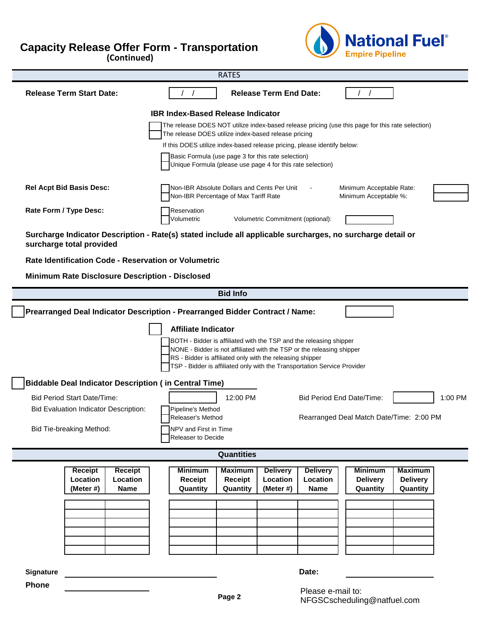(Continued)



| <b>RATES</b>                                                                                                                                                                                                   |                                                                                                                                                              |  |  |  |  |
|----------------------------------------------------------------------------------------------------------------------------------------------------------------------------------------------------------------|--------------------------------------------------------------------------------------------------------------------------------------------------------------|--|--|--|--|
| <b>Release Term Start Date:</b>                                                                                                                                                                                | <b>Release Term End Date:</b>                                                                                                                                |  |  |  |  |
|                                                                                                                                                                                                                | <b>IBR Index-Based Release Indicator</b>                                                                                                                     |  |  |  |  |
|                                                                                                                                                                                                                | The release DOES NOT utilize index-based release pricing (use this page for this rate selection)<br>The release DOES utilize index-based release pricing     |  |  |  |  |
|                                                                                                                                                                                                                | If this DOES utilize index-based release pricing, please identify below:                                                                                     |  |  |  |  |
|                                                                                                                                                                                                                | Basic Formula (use page 3 for this rate selection)                                                                                                           |  |  |  |  |
|                                                                                                                                                                                                                | Unique Formula (please use page 4 for this rate selection)                                                                                                   |  |  |  |  |
| <b>Rel Acpt Bid Basis Desc:</b>                                                                                                                                                                                | Non-IBR Absolute Dollars and Cents Per Unit<br>Minimum Acceptable Rate:<br>Non-IBR Percentage of Max Tariff Rate<br>Minimum Acceptable %:                    |  |  |  |  |
| Rate Form / Type Desc:                                                                                                                                                                                         | Reservation<br>Volumetric<br>Volumetric Commitment (optional):                                                                                               |  |  |  |  |
| Surcharge Indicator Description - Rate(s) stated include all applicable surcharges, no surcharge detail or<br>surcharge total provided                                                                         |                                                                                                                                                              |  |  |  |  |
| Rate Identification Code - Reservation or Volumetric                                                                                                                                                           |                                                                                                                                                              |  |  |  |  |
| Minimum Rate Disclosure Description - Disclosed                                                                                                                                                                |                                                                                                                                                              |  |  |  |  |
|                                                                                                                                                                                                                | <b>Bid Info</b>                                                                                                                                              |  |  |  |  |
|                                                                                                                                                                                                                | Prearranged Deal Indicator Description - Prearranged Bidder Contract / Name:                                                                                 |  |  |  |  |
|                                                                                                                                                                                                                | <b>Affiliate Indicator</b>                                                                                                                                   |  |  |  |  |
| BOTH - Bidder is affiliated with the TSP and the releasing shipper                                                                                                                                             |                                                                                                                                                              |  |  |  |  |
| NONE - Bidder is not affiliated with the TSP or the releasing shipper<br>RS - Bidder is affiliated only with the releasing shipper<br>TSP - Bidder is affiliated only with the Transportation Service Provider |                                                                                                                                                              |  |  |  |  |
| <b>Biddable Deal Indicator Description (in Central Time)</b>                                                                                                                                                   |                                                                                                                                                              |  |  |  |  |
| <b>Bid Period Start Date/Time:</b>                                                                                                                                                                             | 12:00 PM<br><b>Bid Period End Date/Time:</b><br>1:00 PM                                                                                                      |  |  |  |  |
| <b>Bid Evaluation Indicator Description:</b>                                                                                                                                                                   | Pipeline's Method                                                                                                                                            |  |  |  |  |
|                                                                                                                                                                                                                | Releaser's Method<br>Rearranged Deal Match Date/Time: 2:00 PM                                                                                                |  |  |  |  |
| Bid Tie-breaking Method:<br>NPV and First in Time<br>Releaser to Decide                                                                                                                                        |                                                                                                                                                              |  |  |  |  |
| <b>Quantities</b>                                                                                                                                                                                              |                                                                                                                                                              |  |  |  |  |
| <b>Receipt</b><br>Receipt                                                                                                                                                                                      | <b>Maximum</b><br><b>Minimum</b><br><b>Maximum</b><br><b>Delivery</b><br><b>Delivery</b><br><b>Minimum</b>                                                   |  |  |  |  |
| Location<br>Location<br>(Meter #)<br><b>Name</b>                                                                                                                                                               | <b>Delivery</b><br>Receipt<br>Location<br>Location<br><b>Delivery</b><br>Receipt<br>Quantity<br>Quantity<br>(Meter #)<br><b>Name</b><br>Quantity<br>Quantity |  |  |  |  |
|                                                                                                                                                                                                                |                                                                                                                                                              |  |  |  |  |
|                                                                                                                                                                                                                |                                                                                                                                                              |  |  |  |  |
|                                                                                                                                                                                                                |                                                                                                                                                              |  |  |  |  |
|                                                                                                                                                                                                                |                                                                                                                                                              |  |  |  |  |
|                                                                                                                                                                                                                |                                                                                                                                                              |  |  |  |  |
| <b>Signature</b>                                                                                                                                                                                               | Date:                                                                                                                                                        |  |  |  |  |

**Phone Phone Place Fax To: 716-827-237-237-237-237-237-2378**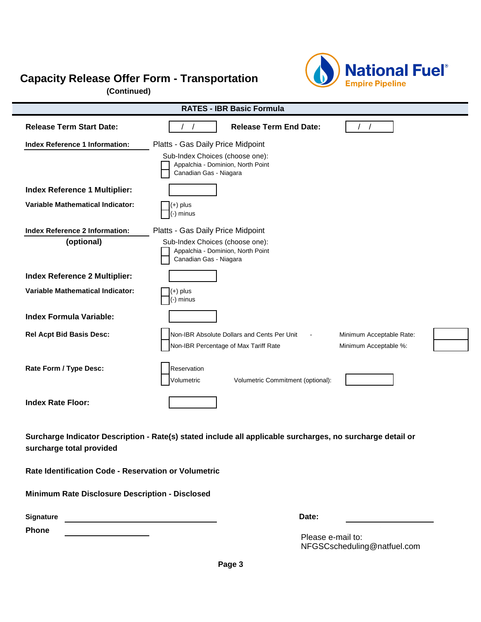**(Continued)**



| <b>RATES - IBR Basic Formula</b>                                                                                                       |                                                                                                |                          |
|----------------------------------------------------------------------------------------------------------------------------------------|------------------------------------------------------------------------------------------------|--------------------------|
| <b>Release Term Start Date:</b>                                                                                                        | <b>Release Term End Date:</b>                                                                  |                          |
| Index Reference 1 Information:                                                                                                         | Platts - Gas Daily Price Midpoint                                                              |                          |
|                                                                                                                                        | Sub-Index Choices (choose one):<br>Appalchia - Dominion, North Point<br>Canadian Gas - Niagara |                          |
| <b>Index Reference 1 Multiplier:</b>                                                                                                   |                                                                                                |                          |
| <b>Variable Mathematical Indicator:</b>                                                                                                | (+) plus<br>(-) minus                                                                          |                          |
| <b>Index Reference 2 Information:</b>                                                                                                  | Platts - Gas Daily Price Midpoint                                                              |                          |
| (optional)                                                                                                                             | Sub-Index Choices (choose one):<br>Appalchia - Dominion, North Point<br>Canadian Gas - Niagara |                          |
| <b>Index Reference 2 Multiplier:</b>                                                                                                   |                                                                                                |                          |
| <b>Variable Mathematical Indicator:</b>                                                                                                | $(+)$ plus<br>(-) minus                                                                        |                          |
| <b>Index Formula Variable:</b>                                                                                                         |                                                                                                |                          |
| <b>Rel Acpt Bid Basis Desc:</b>                                                                                                        | Non-IBR Absolute Dollars and Cents Per Unit                                                    | Minimum Acceptable Rate: |
|                                                                                                                                        | Non-IBR Percentage of Max Tariff Rate                                                          | Minimum Acceptable %:    |
| Rate Form / Type Desc:                                                                                                                 | Reservation<br>Volumetric<br>Volumetric Commitment (optional):                                 |                          |
| <b>Index Rate Floor:</b>                                                                                                               |                                                                                                |                          |
| Surcharge Indicator Description - Rate(s) stated include all applicable surcharges, no surcharge detail or<br>surcharge total provided |                                                                                                |                          |

**Rate Identification Code - Reservation or Volumetric**

**Minimum Rate Disclosure Description - Disclosed**

| <b>Signature</b> | Date: |
|------------------|-------|
|                  |       |

**Phone Phone Plants Plants Plants Plants Plants Plants Plants Plants Plants Plants Plants Plants Plants Plants Plants Plants Plants Plants Plants Plants Plants Plants Plants** 

Please e-mail to: NFGSCscheduling@natfuel.com